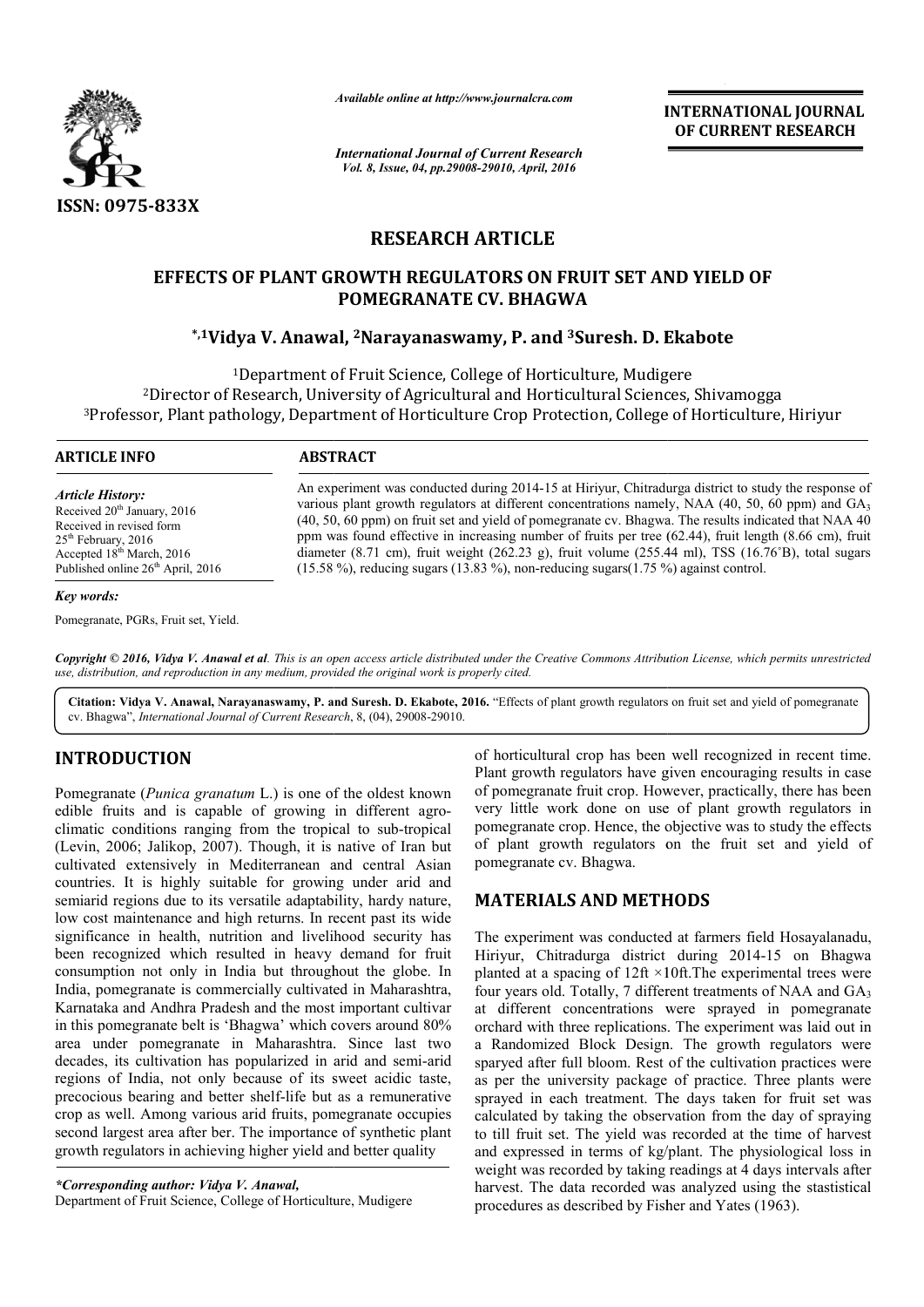

*Available online at http://www.journalcra.com*

*International Journal of Current Research Vol. 8, Issue, 04, pp.29008-29010, April, 2016*

**INTERNATIONAL JOURNAL OF CURRENT RESEARCH** 

## **RESEARCH ARTICLE**

# **EFFECTS OF PLANT GROWTH REGULATORS ON FRUIT SET AND YIELD OF**  CTS OF PLANT GROWTH REGULATORS ON FRUIT SET AND YIELD OF<sup>.</sup><br>POMEGRANATE CV. BHAGWA<br>iVidya V. Anawal, <sup>2</sup>Narayanaswamy, P. and <sup>3</sup>Suresh. D. Ekabote\* **POMEGRANATE CV. BHAGWA**

<sup>1</sup>Department of Fruit Science, College of Horticulture, Mudigere <sup>2</sup>Director of Research, University of Agricultural and Horticultural Sciences, Shivamogga <sup>3</sup>Professor, Plant pathology, Department of Horticulture Crop Protection, College of Horticulture, Hiriyur

 $\overline{a}$ 

### **ARTICLE INFO ABSTRACT**

*Article History:* Received 20<sup>th</sup> January, 2016 Received in revised form 25<sup>th</sup> February, 2016 Accepted 18<sup>th</sup> March, 2016 Published online 26<sup>th</sup> April, 2016

#### *Key words:*

Pomegranate, PGRs, Fruit set, Yield.

An experiment was conducted during 2014 2014-15 at Hiriyur, Chitradurga district to study the response of An experiment was conducted during 2014-15 at Hiriyur, Chitradurga district to study the response of various plant growth regulators at different concentrations namely, NAA (40, 50, 60 ppm) and  $GA_3$ (40, 50, 60 ppm) on fruit set and yield of pomegranate cv. Bhagwa. The results indicated that NAA 40 ppm was found effective in increasing number of fruits per tree (62.44), fruit length (8.66 cm), fruit diameter (8.71 cm), fruit weight (262.23 g), fruit volume (255.44 ml), TSS (16.76  $(15.58\%)$ , reducing sugars  $(13.83\%)$ , non-reducing sugars $(1.75\%)$  against control. (40, 50, 60 ppm) on fruit set and yield of pomegranate cv. Bhagwa. The results indicated that NAA 40 ppm was found effective in increasing number of fruits per tree (62.44), fruit length (8.66 cm), fruit diameter (8.71 cm

*Copyright © 2016, Vidya V. Anawal et al. This is an open access article distributed under the Creative Commons Attribution License, which ribution permits unrestricted use, distribution, and reproduction in any medium, provided the original work is properly cited.*

Citation: Vidya V. Anawal, Narayanaswamy, P. and Suresh. D. Ekabote, 2016. "Effects of plant growth regulators on fruit set and yield of pomegranate cv. Bhagwa", *International Journal of Current Research* , 8, (04), 29008-29010.

## **INTRODUCTION**

Pomegranate (*Punica granatum* L.) is one of the oldest known edible fruits and is capable of growing in different agroclimatic conditions ranging from the tropical to sub-tropical (Levin, 2006; Jalikop, 2007). Though, it is native of Iran but cultivated extensively in Mediterranean and central Asian countries. It is highly suitable for growing under arid and semiarid regions due to its versatile adaptability, hardy nature, low cost maintenance and high returns. In recent past its wide significance in health, nutrition and livelihood security has been recognized which resulted in heavy demand for fruit consumption not only in India but throughout the globe. In India, pomegranate is commercially cultivated in Maharashtra, Karnataka and Andhra Pradesh and the most important cultivar in this pomegranate belt is 'Bhagwa' which covers around 80% area under pomegranate in Maharashtra. Since last two decades, its cultivation has popularized in arid and semi regions of India, not only because of its sweet acidic taste, precocious bearing and better shelf-life but as a remunerative crop as well. Among various arid fruits, pomegranate occupies second largest area after ber. The importance of synthetic plant growth regulators in achieving higher yield and better quality s pomegranate belt is 'Bhagwa' which covers around 80% under pomegranate in Maharashtra. Since last two des, its cultivation has popularized in arid and semi-arid

*\*Corresponding author: Vidya V. Anawal,* Department of Fruit Science, College of Horticulture, Mudigere

Plant growth regulators have given encouraging results in case of pomegranate fruit crop. However, practically, very little work done on use of plant growth regulators in pomegranate crop. Hence, the objective was to study the effects of plant growth regulators on the fruit set and yield of pomegranate cv. Bhagwa. crop has been well recognized in recent time.<br>gulators have given encouraging results in case<br>fruit crop. However, practically, there has been work done on use of plant growth reg<br>ate crop. Hence, the objective was to study t<br>growth regulators on the fruit set and

## **MATERIALS AND METHODS METHODS**

of horticultural crop has been well recognized in recent time.<br>
Plant growth regulators have given encouraging results in case<br>
owing in different agro-<br>
of pomegranate fruit crop. However, practically, there has been<br>
ow The experiment was conducted at farmers field Hosayalanadu, The experiment was conducted at farmers field Hosayalanadu, Hiriyur, Chitradurga district during 2014-15 on Bhagwa planted at a spacing of  $12$ ft  $\times$ 10ft. The experimental trees were planted at a spacing of  $12ft \times 10ft$ . The experimental trees were four years old. Totally, 7 different treatments of NAA and  $GA_3$ at different concentrations were sprayed in pomegranate orchard with three replications. The experiment was laid out in a Randomized Block Design. The growth regulators were sparyed after full bloom. Rest of the cultivation practices were as per the university package of practice. Three plants were sprayed in each treatment. The days taken for fruit set was calculated by taking the observation from the day of spraying to till fruit set. The yield was recorded at the time of harvest and expressed in terms of kg/plant. The physiological loss in weight was recorded by taking readings at 4 days intervals after harvest. The data recorded was analyzed using the stastistical procedures as described by Fisher and Yates (1963). different concentrations were sprayed in pomegranate chard with three replications. The experiment was laid out in Randomized Block Design. The growth regulators were aryed after full bloom. Rest of the cultivation practic d in each treatment. The days taken for fruit set was<br>tted by taking the observation from the day of spraying<br>fruit set. The yield was recorded at the time of harvest<br>pressed in terms of kg/plant. The physiological loss in recorded to the correct of the real matter of the system of the system of the system of the system of the system of the system of the system of the system of the system of the correct of the correct of the correct of the c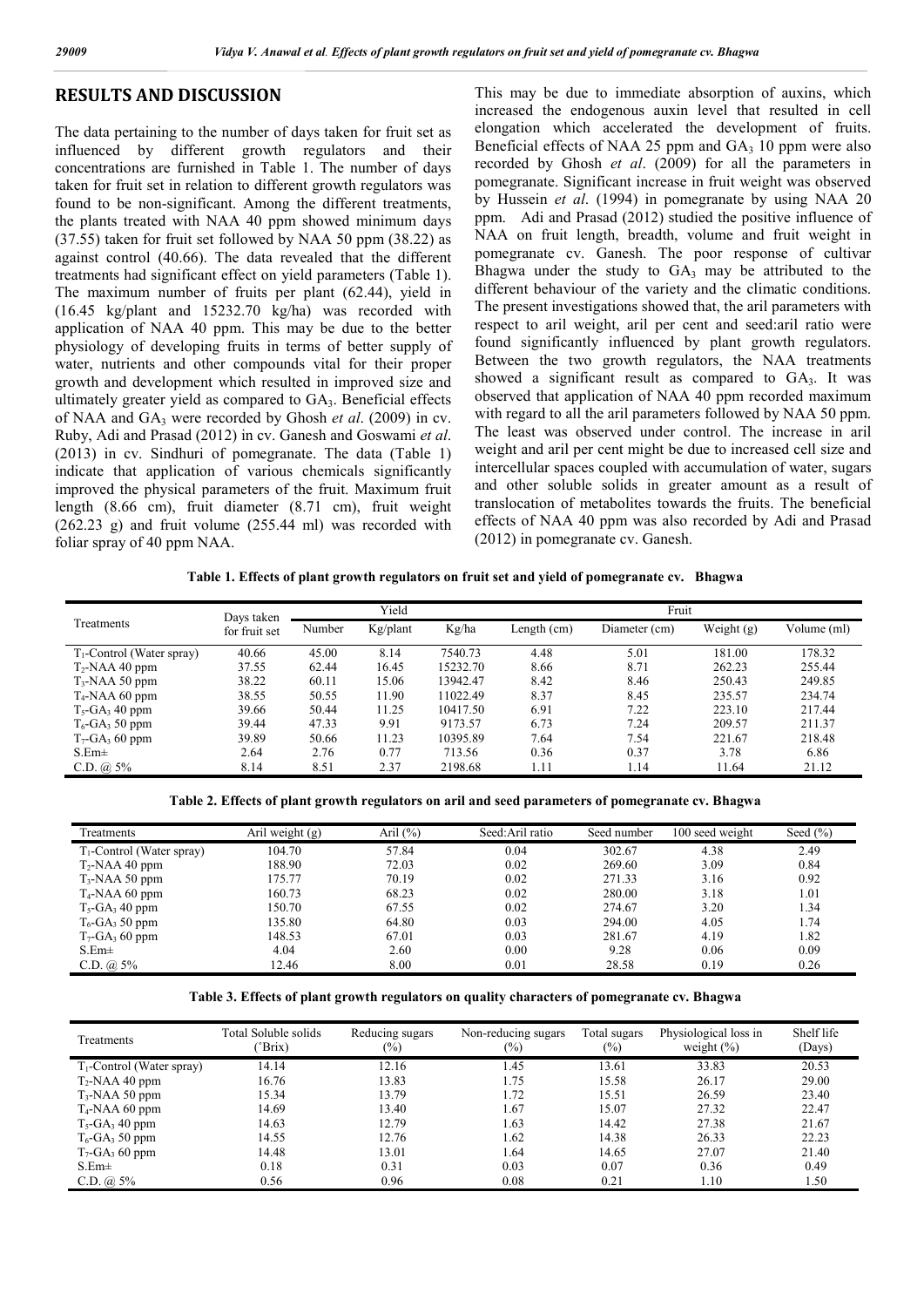### **RESULTS AND DISCUSSION**

The data pertaining to the number of days taken for fruit set as influenced by different growth regulators and their concentrations are furnished in Table 1. The number of days taken for fruit set in relation to different growth regulators was found to be non-significant. Among the different treatments, the plants treated with NAA 40 ppm showed minimum days (37.55) taken for fruit set followed by NAA 50 ppm (38.22) as against control (40.66). The data revealed that the different treatments had significant effect on yield parameters (Table 1). The maximum number of fruits per plant (62.44), yield in (16.45 kg/plant and 15232.70 kg/ha) was recorded with application of NAA 40 ppm. This may be due to the better physiology of developing fruits in terms of better supply of water, nutrients and other compounds vital for their proper growth and development which resulted in improved size and ultimately greater yield as compared to GA<sub>3</sub>. Beneficial effects of NAA and GA3 were recorded by Ghosh *et al*. (2009) in cv. Ruby, Adi and Prasad (2012) in cv. Ganesh and Goswami *et al*. (2013) in cv. Sindhuri of pomegranate. The data (Table 1) indicate that application of various chemicals significantly improved the physical parameters of the fruit. Maximum fruit length (8.66 cm), fruit diameter (8.71 cm), fruit weight  $(262.23 \text{ g})$  and fruit volume  $(255.44 \text{ ml})$  was recorded with foliar spray of 40 ppm NAA.

This may be due to immediate absorption of auxins, which increased the endogenous auxin level that resulted in cell elongation which accelerated the development of fruits. Beneficial effects of NAA 25 ppm and  $GA<sub>3</sub>$  10 ppm were also recorded by Ghosh *et al*. (2009) for all the parameters in pomegranate. Significant increase in fruit weight was observed by Hussein *et al*. (1994) in pomegranate by using NAA 20 ppm. Adi and Prasad (2012) studied the positive influence of NAA on fruit length, breadth, volume and fruit weight in pomegranate cv. Ganesh. The poor response of cultivar Bhagwa under the study to  $GA_3$  may be attributed to the different behaviour of the variety and the climatic conditions. The present investigations showed that, the aril parameters with respect to aril weight, aril per cent and seed:aril ratio were found significantly influenced by plant growth regulators. Between the two growth regulators, the NAA treatments showed a significant result as compared to  $GA_3$ . It was observed that application of NAA 40 ppm recorded maximum with regard to all the aril parameters followed by NAA 50 ppm. The least was observed under control. The increase in aril weight and aril per cent might be due to increased cell size and intercellular spaces coupled with accumulation of water, sugars and other soluble solids in greater amount as a result of translocation of metabolites towards the fruits. The beneficial effects of NAA 40 ppm was also recorded by Adi and Prasad (2012) in pomegranate cv. Ganesh.

**Table 1. Effects of plant growth regulators on fruit set and yield of pomegranate cv. Bhagwa**

| Treatments                    | Days taken<br>for fruit set | Yield  |          |          | Fruit       |               |              |             |
|-------------------------------|-----------------------------|--------|----------|----------|-------------|---------------|--------------|-------------|
|                               |                             | Number | Kg/plant | Kg/ha    | Length (cm) | Diameter (cm) | Weight $(g)$ | Volume (ml) |
| $T_1$ -Control (Water spray)  | 40.66                       | 45.00  | 8.14     | 7540.73  | 4.48        | 5.01          | 181.00       | 178.32      |
| $T_2$ -NAA 40 ppm             | 37.55                       | 62.44  | 16.45    | 15232.70 | 8.66        | 8.71          | 262.23       | 255.44      |
| $T_3$ -NAA 50 ppm             | 38.22                       | 60.11  | 15.06    | 13942.47 | 8.42        | 8.46          | 250.43       | 249.85      |
| $T_4$ -NAA 60 ppm             | 38.55                       | 50.55  | 11.90    | 11022.49 | 8.37        | 8.45          | 235.57       | 234.74      |
| $T_5$ -GA <sub>3</sub> 40 ppm | 39.66                       | 50.44  | 11.25    | 10417.50 | 6.91        | 7.22          | 223.10       | 217.44      |
| $T_6$ -GA <sub>3</sub> 50 ppm | 39.44                       | 47.33  | 9.91     | 9173.57  | 6.73        | 7.24          | 209.57       | 211.37      |
| $T_7$ -GA <sub>3</sub> 60 ppm | 39.89                       | 50.66  | 11.23    | 10395.89 | 7.64        | 7.54          | 221.67       | 218.48      |
| $S.Em\pm$                     | 2.64                        | 2.76   | 0.77     | 713.56   | 0.36        | 0.37          | 3.78         | 6.86        |
| C.D. $\omega$ 5%              | 8.14                        | 8.51   | 2.37     | 2198.68  | 1.11        | 1.14          | 11.64        | 21.12       |

**Table 2. Effects of plant growth regulators on aril and seed parameters of pomegranate cv. Bhagwa**

| Treatments                    | Aril weight (g) | Aril $(\%)$ | Seed: Aril ratio | Seed number | 100 seed weight | Seed $(\% )$ |
|-------------------------------|-----------------|-------------|------------------|-------------|-----------------|--------------|
| $T_1$ -Control (Water spray)  | 104.70          | 57.84       | 0.04             | 302.67      | 4.38            | 2.49         |
| $T_2$ -NAA 40 ppm             | 188.90          | 72.03       | 0.02             | 269.60      | 3.09            | 0.84         |
| $T_3$ -NAA 50 ppm             | 175.77          | 70.19       | 0.02             | 271.33      | 3.16            | 0.92         |
| $T_4$ -NAA 60 ppm             | 160.73          | 68.23       | 0.02             | 280.00      | 3.18            | 1.01         |
| $T_5$ -GA <sub>3</sub> 40 ppm | 150.70          | 67.55       | 0.02             | 274.67      | 3.20            | 1.34         |
| $T_6$ -GA <sub>3</sub> 50 ppm | 135.80          | 64.80       | 0.03             | 294.00      | 4.05            | 1.74         |
| $T_7$ -GA <sub>3</sub> 60 ppm | 148.53          | 67.01       | 0.03             | 281.67      | 4.19            | 1.82         |
| $S.Em\pm$                     | 4.04            | 2.60        | 0.00             | 9.28        | 0.06            | 0.09         |
| $C.D. @. 5\%$                 | 12.46           | 8.00        | 0.01             | 28.58       | 0.19            | 0.26         |

**Table 3. Effects of plant growth regulators on quality characters of pomegranate cv. Bhagwa**

| Treatments                    | Total Soluble solids<br>$\mathrm{Prix}$ | Reducing sugars<br>$(\%)$ | Non-reducing sugars<br>$\frac{1}{2}$ | Total sugars<br>$\frac{1}{2}$ | Physiological loss in<br>weight $(\% )$ | Shelf life<br>(Days) |
|-------------------------------|-----------------------------------------|---------------------------|--------------------------------------|-------------------------------|-----------------------------------------|----------------------|
| $T_1$ -Control (Water spray)  | 14.14                                   | 12.16                     | 1.45                                 | 13.61                         | 33.83                                   | 20.53                |
| $T_2$ -NAA 40 ppm             | 16.76                                   | 13.83                     | 1.75                                 | 15.58                         | 26.17                                   | 29.00                |
| $T_3$ -NAA 50 ppm             | 15.34                                   | 13.79                     | 1.72                                 | 15.51                         | 26.59                                   | 23.40                |
| $T_4$ -NAA 60 ppm             | 14.69                                   | 13.40                     | 1.67                                 | 15.07                         | 27.32                                   | 22.47                |
| $T_5$ -GA <sub>3</sub> 40 ppm | 14.63                                   | 12.79                     | 1.63                                 | 14.42                         | 27.38                                   | 21.67                |
| $T_6$ -GA <sub>3</sub> 50 ppm | 14.55                                   | 12.76                     | 1.62                                 | 14.38                         | 26.33                                   | 22.23                |
| $T_7$ -GA <sub>3</sub> 60 ppm | 14.48                                   | 13.01                     | l.64                                 | 14.65                         | 27.07                                   | 21.40                |
| $S.Em\pm$                     | 0.18                                    | 0.31                      | 0.03                                 | 0.07                          | 0.36                                    | 0.49                 |
| C.D. $\omega$ 5%              | 0.56                                    | 0.96                      | 0.08                                 | 0.21                          | 1.10                                    | 1.50                 |